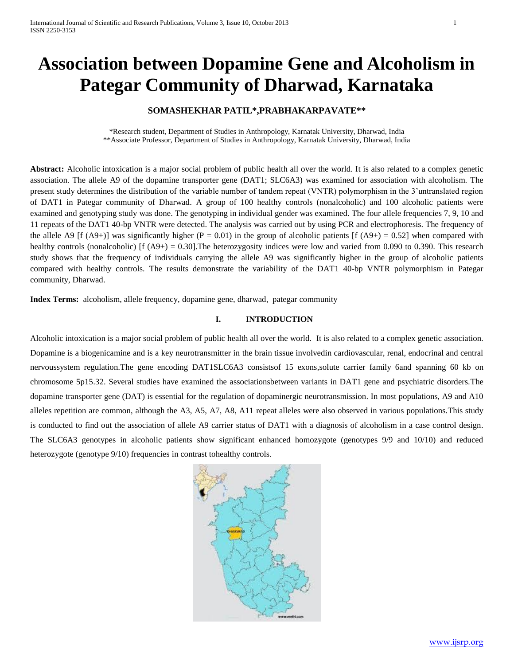# **Association between Dopamine Gene and Alcoholism in Pategar Community of Dharwad, Karnataka**

# **SOMASHEKHAR PATIL\*,PRABHAKARPAVATE\*\***

\*Research student, Department of Studies in Anthropology, Karnatak University, Dharwad, India \*\*Associate Professor, Department of Studies in Anthropology, Karnatak University, Dharwad, India

**Abstract:** Alcoholic intoxication is a major social problem of public health all over the world. It is also related to a complex genetic association. The allele A9 of the dopamine transporter gene (DAT1; SLC6A3) was examined for association with alcoholism. The present study determines the distribution of the variable number of tandem repeat (VNTR) polymorphism in the 3'untranslated region of DAT1 in Pategar community of Dharwad. A group of 100 healthy controls (nonalcoholic) and 100 alcoholic patients were examined and genotyping study was done. The genotyping in individual gender was examined. The four allele frequencies 7, 9, 10 and 11 repeats of the DAT1 40-bp VNTR were detected. The analysis was carried out by using PCR and electrophoresis. The frequency of the allele A9 [f (A9+)] was significantly higher (P = 0.01) in the group of alcoholic patients [f (A9+) = 0.52] when compared with healthy controls (nonalcoholic) [f  $(A9+) = 0.30$ ]. The heterozygosity indices were low and varied from 0.090 to 0.390. This research study shows that the frequency of individuals carrying the allele A9 was significantly higher in the group of alcoholic patients compared with healthy controls. The results demonstrate the variability of the DAT1 40-bp VNTR polymorphism in Pategar community, Dharwad.

**Index Terms:** alcoholism, allele frequency, dopamine gene, dharwad, pategar community

# **I. INTRODUCTION**

Alcoholic intoxication is a major social problem of public health all over the world. It is also related to a complex genetic association. Dopamine is a biogenicamine and is a key neurotransmitter in the brain tissue involvedin cardiovascular, renal, endocrinal and central nervoussystem regulation.The gene encoding DAT1SLC6A3 consistsof 15 exons,solute carrier family 6and spanning 60 kb on chromosome 5p15.32. Several studies have examined the associationsbetween variants in DAT1 gene and psychiatric disorders.The dopamine transporter gene (DAT) is essential for the regulation of dopaminergic neurotransmission. In most populations, A9 and A10 alleles repetition are common, although the A3, A5, A7, A8, A11 repeat alleles were also observed in various populations.This study is conducted to find out the association of allele A9 carrier status of DAT1 with a diagnosis of alcoholism in a case control design. The SLC6A3 genotypes in alcoholic patients show significant enhanced homozygote (genotypes 9/9 and 10/10) and reduced heterozygote (genotype  $9/10$ ) frequencies in contrast tohealthy controls.

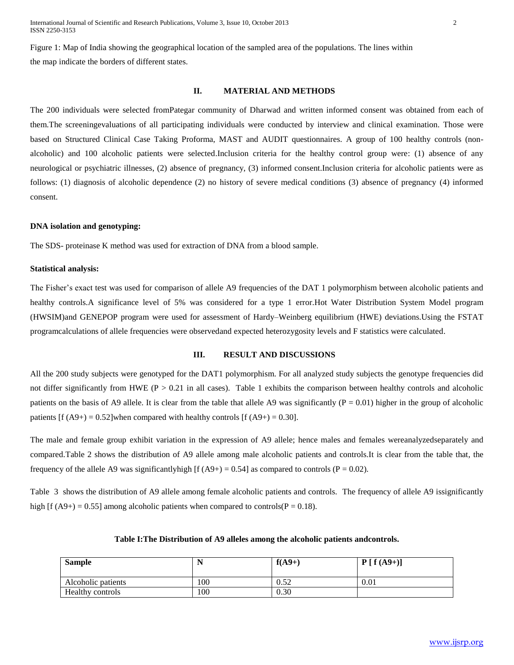#### **II. MATERIAL AND METHODS**

The 200 individuals were selected fromPategar community of Dharwad and written informed consent was obtained from each of them.The screeningevaluations of all participating individuals were conducted by interview and clinical examination. Those were based on Structured Clinical Case Taking Proforma, MAST and AUDIT questionnaires. A group of 100 healthy controls (nonalcoholic) and 100 alcoholic patients were selected.Inclusion criteria for the healthy control group were: (1) absence of any neurological or psychiatric illnesses, (2) absence of pregnancy, (3) informed consent.Inclusion criteria for alcoholic patients were as follows: (1) diagnosis of alcoholic dependence (2) no history of severe medical conditions (3) absence of pregnancy (4) informed consent.

#### **DNA isolation and genotyping:**

The SDS- proteinase K method was used for extraction of DNA from a blood sample.

#### **Statistical analysis:**

The Fisher's exact test was used for comparison of allele A9 frequencies of the DAT 1 polymorphism between alcoholic patients and healthy controls.A significance level of 5% was considered for a type 1 error.Hot Water Distribution System Model program (HWSIM)and GENEPOP program were used for assessment of Hardy–Weinberg equilibrium (HWE) deviations.Using the FSTAT programcalculations of allele frequencies were observedand expected heterozygosity levels and F statistics were calculated.

#### **III. RESULT AND DISCUSSIONS**

All the 200 study subjects were genotyped for the DAT1 polymorphism. For all analyzed study subjects the genotype frequencies did not differ significantly from HWE ( $P > 0.21$  in all cases). Table 1 exhibits the comparison between healthy controls and alcoholic patients on the basis of A9 allele. It is clear from the table that allele A9 was significantly  $(P = 0.01)$  higher in the group of alcoholic patients  $[f (A9+) = 0.52]$  when compared with healthy controls  $[f (A9+) = 0.30]$ .

The male and female group exhibit variation in the expression of A9 allele; hence males and females wereanalyzedseparately and compared.Table 2 shows the distribution of A9 allele among male alcoholic patients and controls.It is clear from the table that, the frequency of the allele A9 was significantly high  $f(A9+) = 0.54$  as compared to controls  $(P = 0.02)$ .

Table 3 shows the distribution of A9 allele among female alcoholic patients and controls. The frequency of allele A9 issignificantly high [f (A9+) = 0.55] among alcoholic patients when compared to controls( $P = 0.18$ ).

| <b>Sample</b>      |     | $f(A9+)$ | $P[f(A9+)]$ |
|--------------------|-----|----------|-------------|
| Alcoholic patients | 100 | 0.52     | 0.01        |
| Healthy controls   | 100 | 0.30     |             |

#### **Table I:The Distribution of A9 alleles among the alcoholic patients andcontrols.**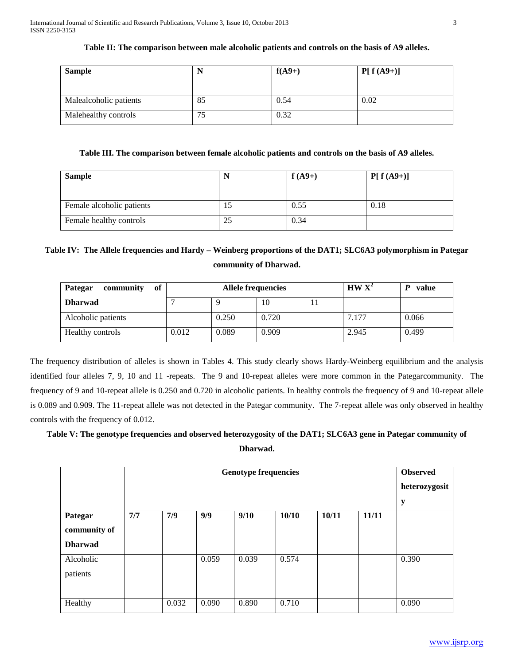# **Table II: The comparison between male alcoholic patients and controls on the basis of A9 alleles.**

| <b>Sample</b>          | N  | $f(A9+)$ | $P[ f (A9+) ]$ |
|------------------------|----|----------|----------------|
| Malealcoholic patients | 85 | 0.54     | 0.02           |
| Malehealthy controls   | 75 | 0.32     |                |

# **Table III. The comparison between female alcoholic patients and controls on the basis of A9 alleles.**

| <b>Sample</b>             |    | $f(A9+)$ | $P[f(A9+)]$ |
|---------------------------|----|----------|-------------|
| Female alcoholic patients | 19 | 0.55     | 0.18        |
| Female healthy controls   | 25 | 0.34     |             |

# **Table IV: The Allele frequencies and Hardy – Weinberg proportions of the DAT1; SLC6A3 polymorphism in Pategar community of Dharwad.**

| of<br>community<br><b>Pategar</b> | <b>Allele frequencies</b> |       |       |  | $HW X^2$ | value |
|-----------------------------------|---------------------------|-------|-------|--|----------|-------|
| <b>Dharwad</b>                    |                           |       | 10    |  |          |       |
| Alcoholic patients                |                           | 0.250 | 0.720 |  | 7.177    | 0.066 |
| Healthy controls                  | 0.012                     | 0.089 | 0.909 |  | 2.945    | 0.499 |

The frequency distribution of alleles is shown in Tables 4. This study clearly shows Hardy-Weinberg equilibrium and the analysis identified four alleles 7, 9, 10 and 11 -repeats. The 9 and 10-repeat alleles were more common in the Pategarcommunity. The frequency of 9 and 10-repeat allele is 0.250 and 0.720 in alcoholic patients. In healthy controls the frequency of 9 and 10-repeat allele is 0.089 and 0.909. The 11-repeat allele was not detected in the Pategar community. The 7-repeat allele was only observed in healthy controls with the frequency of 0.012.

# **Table V: The genotype frequencies and observed heterozygosity of the DAT1; SLC6A3 gene in Pategar community of Dharwad.**

|                                           | <b>Genotype frequencies</b> |       |       |       |       |       |       | <b>Observed</b><br>heterozygosit<br>$\mathbf y$ |
|-------------------------------------------|-----------------------------|-------|-------|-------|-------|-------|-------|-------------------------------------------------|
| Pategar<br>community of<br><b>Dharwad</b> | 7/7                         | 7/9   | 9/9   | 9/10  | 10/10 | 10/11 | 11/11 |                                                 |
| Alcoholic<br>patients                     |                             |       | 0.059 | 0.039 | 0.574 |       |       | 0.390                                           |
| Healthy                                   |                             | 0.032 | 0.090 | 0.890 | 0.710 |       |       | 0.090                                           |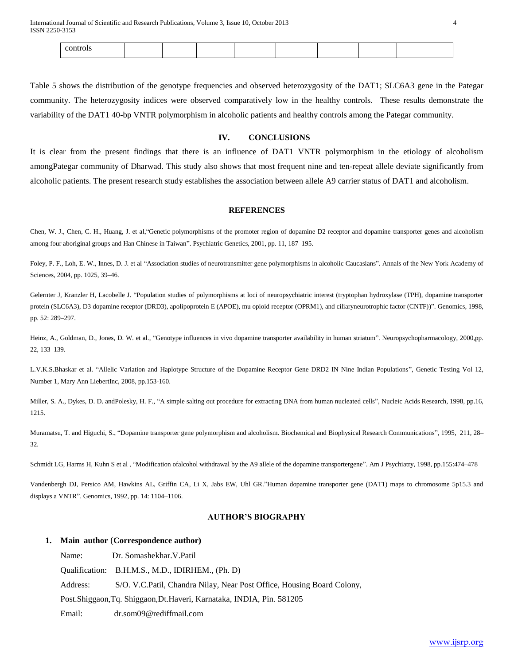International Journal of Scientific and Research Publications, Volume 3, Issue 10, October 2013 4 ISSN 2250-3153

Table 5 shows the distribution of the genotype frequencies and observed heterozygosity of the DAT1; SLC6A3 gene in the Pategar community. The heterozygosity indices were observed comparatively low in the healthy controls. These results demonstrate the variability of the DAT1 40-bp VNTR polymorphism in alcoholic patients and healthy controls among the Pategar community.

## **IV. CONCLUSIONS**

It is clear from the present findings that there is an influence of DAT1 VNTR polymorphism in the etiology of alcoholism amongPategar community of Dharwad. This study also shows that most frequent nine and ten-repeat allele deviate significantly from alcoholic patients. The present research study establishes the association between allele A9 carrier status of DAT1 and alcoholism.

#### **REFERENCES**

Chen, W. J., Chen, C. H., Huang, J. et al,"Genetic polymorphisms of the promoter region of dopamine D2 receptor and dopamine transporter genes and alcoholism among four aboriginal groups and Han Chinese in Taiwan". Psychiatric Genetics, 2001, pp. 11, 187–195.

Foley, P. F., Loh, E. W., Innes, D. J. et al "Association studies of neurotransmitter gene polymorphisms in alcoholic Caucasians". Annals of the New York Academy of Sciences, 2004, pp. 1025, 39–46.

Gelernter J, Kranzler H, Lacobelle J. "Population studies of polymorphisms at loci of neuropsychiatric interest (tryptophan hydroxylase (TPH), dopamine transporter protein (SLC6A3), D3 dopamine receptor (DRD3), apolipoprotein E (APOE), mu opioid receptor (OPRM1), and ciliaryneurotrophic factor (CNTF))". Genomics, 1998, pp. 52: 289–297.

Heinz, A., Goldman, D., Jones, D. W. et al., "Genotype influences in vivo dopamine transporter availability in human striatum". Neuropsychopharmacology, 2000,pp. 22, 133–139.

L.V.K.S.Bhaskar et al. "Allelic Variation and Haplotype Structure of the Dopamine Receptor Gene DRD2 IN Nine Indian Populations", Genetic Testing Vol 12, Number 1, Mary Ann LiebertInc, 2008, pp.153-160.

Miller, S. A., Dykes, D. D. andPolesky, H. F., "A simple salting out procedure for extracting DNA from human nucleated cells", Nucleic Acids Research, 1998, pp.16, 1215.

Muramatsu, T. and Higuchi, S., "Dopamine transporter gene polymorphism and alcoholism. Biochemical and Biophysical Research Communications", 1995, 211, 28– 32.

Schmidt LG, Harms H, Kuhn S et al , "Modification ofalcohol withdrawal by the A9 allele of the dopamine transportergene". Am J Psychiatry, 1998, pp.155:474–478

Vandenbergh DJ, Persico AM, Hawkins AL, Griffin CA, Li X, Jabs EW, Uhl GR."Human dopamine transporter gene (DAT1) maps to chromosome 5p15.3 and displays a VNTR". Genomics, 1992, pp. 14: 1104–1106.

# **AUTHOR'S BIOGRAPHY**

#### **1. Main author** (**Correspondence author)**

Name: Dr. Somashekhar.V.Patil Qualification: B.H.M.S., M.D., IDIRHEM., (Ph. D) Address: S/O. V.C.Patil, Chandra Nilay, Near Post Office, Housing Board Colony, Post.Shiggaon,Tq. Shiggaon,Dt.Haveri, Karnataka, INDIA, Pin. 581205 Email: dr.som09@rediffmail.com